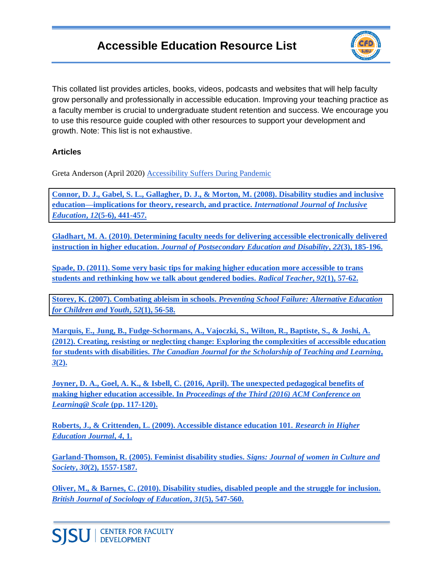## **Accessible Education Resource List**



This collated list provides articles, books, videos, podcasts and websites that will help faculty grow personally and professionally in accessible education. Improving your teaching practice as a faculty member is crucial to undergraduate student retention and success. We encourage you to use this resource guide coupled with other resources to support your development and growth. Note: This list is not exhaustive.

#### **Articles**

Greta Anderson (April 2020[\) Accessibility Suffers During Pandemic](https://www.insidehighered.com/news/2020/04/06/remote-learning-shift-leaves-students-disabilities-behind) 

**[Connor, D. J., Gabel, S. L., Gallagher, D. J., & Morton, M. \(2008\). Disability studies and inclusive](https://d1wqtxts1xzle7.cloudfront.net/51480547/Disability_studies_and_inclusive_educati20170123-17025-1mpa0jd.pdf?1485178497=&response-content-disposition=inline%3B+filename%3DDisability_Studies_and_Inclusive_Educati.pdf&Expires=1599587030&Signature=YF1FnaiylqIgO4Wf-PXnBTtQ6OkGR3aNd3hmLNpetol7N34XMItyik4DTVgyQwNVgWEJdrdYw2O9Gpx2E2rh6r7PGr7GnWgSi~YHhkB8VLp5xJbXq3rkynS3A1m~1hbKzcE0cnp56Q3-GT~g2HsAdlo-HD4ShfbpDDfej3qInwioTuptNUzv9V-JUV37A1K3fRPxKkgX4eq6vtmrVO-Gn9nlRVragx7ni~BoJj5ERemkyXb6plWcahciRFEJp1gosoUvdGYlyeaMm9cpPOuZ5v53FbRBxE03gmVJTfIdy~18WERrVngnWHnDB0~yH2EnhZ93KsDa-l370k7itqq6hg__&Key-Pair-Id=APKAJLOHF5GGSLRBV4ZA)  [education—implications for theory, research, and practice.](https://d1wqtxts1xzle7.cloudfront.net/51480547/Disability_studies_and_inclusive_educati20170123-17025-1mpa0jd.pdf?1485178497=&response-content-disposition=inline%3B+filename%3DDisability_Studies_and_Inclusive_Educati.pdf&Expires=1599587030&Signature=YF1FnaiylqIgO4Wf-PXnBTtQ6OkGR3aNd3hmLNpetol7N34XMItyik4DTVgyQwNVgWEJdrdYw2O9Gpx2E2rh6r7PGr7GnWgSi~YHhkB8VLp5xJbXq3rkynS3A1m~1hbKzcE0cnp56Q3-GT~g2HsAdlo-HD4ShfbpDDfej3qInwioTuptNUzv9V-JUV37A1K3fRPxKkgX4eq6vtmrVO-Gn9nlRVragx7ni~BoJj5ERemkyXb6plWcahciRFEJp1gosoUvdGYlyeaMm9cpPOuZ5v53FbRBxE03gmVJTfIdy~18WERrVngnWHnDB0~yH2EnhZ93KsDa-l370k7itqq6hg__&Key-Pair-Id=APKAJLOHF5GGSLRBV4ZA)** *[International Journal of Inclusive](https://d1wqtxts1xzle7.cloudfront.net/51480547/Disability_studies_and_inclusive_educati20170123-17025-1mpa0jd.pdf?1485178497=&response-content-disposition=inline%3B+filename%3DDisability_Studies_and_Inclusive_Educati.pdf&Expires=1599587030&Signature=YF1FnaiylqIgO4Wf-PXnBTtQ6OkGR3aNd3hmLNpetol7N34XMItyik4DTVgyQwNVgWEJdrdYw2O9Gpx2E2rh6r7PGr7GnWgSi~YHhkB8VLp5xJbXq3rkynS3A1m~1hbKzcE0cnp56Q3-GT~g2HsAdlo-HD4ShfbpDDfej3qInwioTuptNUzv9V-JUV37A1K3fRPxKkgX4eq6vtmrVO-Gn9nlRVragx7ni~BoJj5ERemkyXb6plWcahciRFEJp1gosoUvdGYlyeaMm9cpPOuZ5v53FbRBxE03gmVJTfIdy~18WERrVngnWHnDB0~yH2EnhZ93KsDa-l370k7itqq6hg__&Key-Pair-Id=APKAJLOHF5GGSLRBV4ZA)  [Education](https://d1wqtxts1xzle7.cloudfront.net/51480547/Disability_studies_and_inclusive_educati20170123-17025-1mpa0jd.pdf?1485178497=&response-content-disposition=inline%3B+filename%3DDisability_Studies_and_Inclusive_Educati.pdf&Expires=1599587030&Signature=YF1FnaiylqIgO4Wf-PXnBTtQ6OkGR3aNd3hmLNpetol7N34XMItyik4DTVgyQwNVgWEJdrdYw2O9Gpx2E2rh6r7PGr7GnWgSi~YHhkB8VLp5xJbXq3rkynS3A1m~1hbKzcE0cnp56Q3-GT~g2HsAdlo-HD4ShfbpDDfej3qInwioTuptNUzv9V-JUV37A1K3fRPxKkgX4eq6vtmrVO-Gn9nlRVragx7ni~BoJj5ERemkyXb6plWcahciRFEJp1gosoUvdGYlyeaMm9cpPOuZ5v53FbRBxE03gmVJTfIdy~18WERrVngnWHnDB0~yH2EnhZ93KsDa-l370k7itqq6hg__&Key-Pair-Id=APKAJLOHF5GGSLRBV4ZA)***[,](https://d1wqtxts1xzle7.cloudfront.net/51480547/Disability_studies_and_inclusive_educati20170123-17025-1mpa0jd.pdf?1485178497=&response-content-disposition=inline%3B+filename%3DDisability_Studies_and_Inclusive_Educati.pdf&Expires=1599587030&Signature=YF1FnaiylqIgO4Wf-PXnBTtQ6OkGR3aNd3hmLNpetol7N34XMItyik4DTVgyQwNVgWEJdrdYw2O9Gpx2E2rh6r7PGr7GnWgSi~YHhkB8VLp5xJbXq3rkynS3A1m~1hbKzcE0cnp56Q3-GT~g2HsAdlo-HD4ShfbpDDfej3qInwioTuptNUzv9V-JUV37A1K3fRPxKkgX4eq6vtmrVO-Gn9nlRVragx7ni~BoJj5ERemkyXb6plWcahciRFEJp1gosoUvdGYlyeaMm9cpPOuZ5v53FbRBxE03gmVJTfIdy~18WERrVngnWHnDB0~yH2EnhZ93KsDa-l370k7itqq6hg__&Key-Pair-Id=APKAJLOHF5GGSLRBV4ZA)** *[12](https://d1wqtxts1xzle7.cloudfront.net/51480547/Disability_studies_and_inclusive_educati20170123-17025-1mpa0jd.pdf?1485178497=&response-content-disposition=inline%3B+filename%3DDisability_Studies_and_Inclusive_Educati.pdf&Expires=1599587030&Signature=YF1FnaiylqIgO4Wf-PXnBTtQ6OkGR3aNd3hmLNpetol7N34XMItyik4DTVgyQwNVgWEJdrdYw2O9Gpx2E2rh6r7PGr7GnWgSi~YHhkB8VLp5xJbXq3rkynS3A1m~1hbKzcE0cnp56Q3-GT~g2HsAdlo-HD4ShfbpDDfej3qInwioTuptNUzv9V-JUV37A1K3fRPxKkgX4eq6vtmrVO-Gn9nlRVragx7ni~BoJj5ERemkyXb6plWcahciRFEJp1gosoUvdGYlyeaMm9cpPOuZ5v53FbRBxE03gmVJTfIdy~18WERrVngnWHnDB0~yH2EnhZ93KsDa-l370k7itqq6hg__&Key-Pair-Id=APKAJLOHF5GGSLRBV4ZA)***[\(5-6\), 441-457.](https://d1wqtxts1xzle7.cloudfront.net/51480547/Disability_studies_and_inclusive_educati20170123-17025-1mpa0jd.pdf?1485178497=&response-content-disposition=inline%3B+filename%3DDisability_Studies_and_Inclusive_Educati.pdf&Expires=1599587030&Signature=YF1FnaiylqIgO4Wf-PXnBTtQ6OkGR3aNd3hmLNpetol7N34XMItyik4DTVgyQwNVgWEJdrdYw2O9Gpx2E2rh6r7PGr7GnWgSi~YHhkB8VLp5xJbXq3rkynS3A1m~1hbKzcE0cnp56Q3-GT~g2HsAdlo-HD4ShfbpDDfej3qInwioTuptNUzv9V-JUV37A1K3fRPxKkgX4eq6vtmrVO-Gn9nlRVragx7ni~BoJj5ERemkyXb6plWcahciRFEJp1gosoUvdGYlyeaMm9cpPOuZ5v53FbRBxE03gmVJTfIdy~18WERrVngnWHnDB0~yH2EnhZ93KsDa-l370k7itqq6hg__&Key-Pair-Id=APKAJLOHF5GGSLRBV4ZA)**

**[Gladhart, M. A. \(2010\). Determining faculty needs for delivering accessible electronically delivered](https://files.eric.ed.gov/fulltext/EJ906692.pdf)  [instruction in higher education.](https://files.eric.ed.gov/fulltext/EJ906692.pdf)** *[Journal of Postsecondary Education and Disability](https://files.eric.ed.gov/fulltext/EJ906692.pdf)***[,](https://files.eric.ed.gov/fulltext/EJ906692.pdf)** *[22](https://files.eric.ed.gov/fulltext/EJ906692.pdf)***[\(3\), 185-196.](https://files.eric.ed.gov/fulltext/EJ906692.pdf)**

**[Spade, D. \(2011\). Some very basic tips for making higher education more accessible to trans](https://lgbt.utah.edu/_documents/Some%20Very%20Basic%20Tips%20by%20Dean%20Spade.pdf)  [students and rethinking how we talk about gendered bodies.](https://lgbt.utah.edu/_documents/Some%20Very%20Basic%20Tips%20by%20Dean%20Spade.pdf)** *[Radical Teacher](https://lgbt.utah.edu/_documents/Some%20Very%20Basic%20Tips%20by%20Dean%20Spade.pdf)***[,](https://lgbt.utah.edu/_documents/Some%20Very%20Basic%20Tips%20by%20Dean%20Spade.pdf)** *[92](https://lgbt.utah.edu/_documents/Some%20Very%20Basic%20Tips%20by%20Dean%20Spade.pdf)***[\(1\), 57-62.](https://lgbt.utah.edu/_documents/Some%20Very%20Basic%20Tips%20by%20Dean%20Spade.pdf)**

**[Storey, K. \(2007\). Combating ableism in schools.](https://d1wqtxts1xzle7.cloudfront.net/60887863/Combating_Ableism_in_Schools_200720191013-102670-1paspqf.pdf?1570985857=&response-content-disposition=inline%3B+filename%3DCombating_Ableism_in_Schools.pdf&Expires=1599073565&Signature=XWy3JjMlcpREl3DCSHeFJEIClEoX9zuritF~5gPu4I~U03vAFQ0iaoVNBQ6WNTWDFUNi6XQZUHOEUtnZoawOKYHYnpxvVa9AuwzzDZj4ae64LI-GoSvk4iFdYVWT~MHy7uooSoGkHs6vo2zu-ACtMwCERiI6PJxuHXYqgwSJd1bNxzFAY0OQszsXQfcKKpEVQYFUdHyOdSrLNekDISuxLCKu61VZO2AwYIGEJbW~VK0HjfwwiuXrbLOWfN4VR2d7ewXoK9A7IbYFYO5d130GUDHIPrwCe4EbbEt8MZJsBe0dFRwI1MVnycD2KuiJ4-g-i3Snl50eG3P3ngYLuNT1jQ__&Key-Pair-Id=APKAJLOHF5GGSLRBV4ZA)** *[Preventing School Failure: Alternative Education](https://d1wqtxts1xzle7.cloudfront.net/60887863/Combating_Ableism_in_Schools_200720191013-102670-1paspqf.pdf?1570985857=&response-content-disposition=inline%3B+filename%3DCombating_Ableism_in_Schools.pdf&Expires=1599073565&Signature=XWy3JjMlcpREl3DCSHeFJEIClEoX9zuritF~5gPu4I~U03vAFQ0iaoVNBQ6WNTWDFUNi6XQZUHOEUtnZoawOKYHYnpxvVa9AuwzzDZj4ae64LI-GoSvk4iFdYVWT~MHy7uooSoGkHs6vo2zu-ACtMwCERiI6PJxuHXYqgwSJd1bNxzFAY0OQszsXQfcKKpEVQYFUdHyOdSrLNekDISuxLCKu61VZO2AwYIGEJbW~VK0HjfwwiuXrbLOWfN4VR2d7ewXoK9A7IbYFYO5d130GUDHIPrwCe4EbbEt8MZJsBe0dFRwI1MVnycD2KuiJ4-g-i3Snl50eG3P3ngYLuNT1jQ__&Key-Pair-Id=APKAJLOHF5GGSLRBV4ZA)  [for Children and Youth](https://d1wqtxts1xzle7.cloudfront.net/60887863/Combating_Ableism_in_Schools_200720191013-102670-1paspqf.pdf?1570985857=&response-content-disposition=inline%3B+filename%3DCombating_Ableism_in_Schools.pdf&Expires=1599073565&Signature=XWy3JjMlcpREl3DCSHeFJEIClEoX9zuritF~5gPu4I~U03vAFQ0iaoVNBQ6WNTWDFUNi6XQZUHOEUtnZoawOKYHYnpxvVa9AuwzzDZj4ae64LI-GoSvk4iFdYVWT~MHy7uooSoGkHs6vo2zu-ACtMwCERiI6PJxuHXYqgwSJd1bNxzFAY0OQszsXQfcKKpEVQYFUdHyOdSrLNekDISuxLCKu61VZO2AwYIGEJbW~VK0HjfwwiuXrbLOWfN4VR2d7ewXoK9A7IbYFYO5d130GUDHIPrwCe4EbbEt8MZJsBe0dFRwI1MVnycD2KuiJ4-g-i3Snl50eG3P3ngYLuNT1jQ__&Key-Pair-Id=APKAJLOHF5GGSLRBV4ZA)***[,](https://d1wqtxts1xzle7.cloudfront.net/60887863/Combating_Ableism_in_Schools_200720191013-102670-1paspqf.pdf?1570985857=&response-content-disposition=inline%3B+filename%3DCombating_Ableism_in_Schools.pdf&Expires=1599073565&Signature=XWy3JjMlcpREl3DCSHeFJEIClEoX9zuritF~5gPu4I~U03vAFQ0iaoVNBQ6WNTWDFUNi6XQZUHOEUtnZoawOKYHYnpxvVa9AuwzzDZj4ae64LI-GoSvk4iFdYVWT~MHy7uooSoGkHs6vo2zu-ACtMwCERiI6PJxuHXYqgwSJd1bNxzFAY0OQszsXQfcKKpEVQYFUdHyOdSrLNekDISuxLCKu61VZO2AwYIGEJbW~VK0HjfwwiuXrbLOWfN4VR2d7ewXoK9A7IbYFYO5d130GUDHIPrwCe4EbbEt8MZJsBe0dFRwI1MVnycD2KuiJ4-g-i3Snl50eG3P3ngYLuNT1jQ__&Key-Pair-Id=APKAJLOHF5GGSLRBV4ZA)** *[52](https://d1wqtxts1xzle7.cloudfront.net/60887863/Combating_Ableism_in_Schools_200720191013-102670-1paspqf.pdf?1570985857=&response-content-disposition=inline%3B+filename%3DCombating_Ableism_in_Schools.pdf&Expires=1599073565&Signature=XWy3JjMlcpREl3DCSHeFJEIClEoX9zuritF~5gPu4I~U03vAFQ0iaoVNBQ6WNTWDFUNi6XQZUHOEUtnZoawOKYHYnpxvVa9AuwzzDZj4ae64LI-GoSvk4iFdYVWT~MHy7uooSoGkHs6vo2zu-ACtMwCERiI6PJxuHXYqgwSJd1bNxzFAY0OQszsXQfcKKpEVQYFUdHyOdSrLNekDISuxLCKu61VZO2AwYIGEJbW~VK0HjfwwiuXrbLOWfN4VR2d7ewXoK9A7IbYFYO5d130GUDHIPrwCe4EbbEt8MZJsBe0dFRwI1MVnycD2KuiJ4-g-i3Snl50eG3P3ngYLuNT1jQ__&Key-Pair-Id=APKAJLOHF5GGSLRBV4ZA)***[\(1\), 56-58.](https://d1wqtxts1xzle7.cloudfront.net/60887863/Combating_Ableism_in_Schools_200720191013-102670-1paspqf.pdf?1570985857=&response-content-disposition=inline%3B+filename%3DCombating_Ableism_in_Schools.pdf&Expires=1599073565&Signature=XWy3JjMlcpREl3DCSHeFJEIClEoX9zuritF~5gPu4I~U03vAFQ0iaoVNBQ6WNTWDFUNi6XQZUHOEUtnZoawOKYHYnpxvVa9AuwzzDZj4ae64LI-GoSvk4iFdYVWT~MHy7uooSoGkHs6vo2zu-ACtMwCERiI6PJxuHXYqgwSJd1bNxzFAY0OQszsXQfcKKpEVQYFUdHyOdSrLNekDISuxLCKu61VZO2AwYIGEJbW~VK0HjfwwiuXrbLOWfN4VR2d7ewXoK9A7IbYFYO5d130GUDHIPrwCe4EbbEt8MZJsBe0dFRwI1MVnycD2KuiJ4-g-i3Snl50eG3P3ngYLuNT1jQ__&Key-Pair-Id=APKAJLOHF5GGSLRBV4ZA)**

**[Marquis, E., Jung, B., Fudge-Schormans, A., Vajoczki, S.,](https://ojs.lib.uwo.ca/index.php/cjsotl_rcacea/article/view/6913/5627) Wilton, R., Baptiste, S., & Joshi, A. [\(2012\). Creating, resisting or neglecting change: Exploring the complexities of accessible education](https://ojs.lib.uwo.ca/index.php/cjsotl_rcacea/article/view/6913/5627)  [for students with disabilities.](https://ojs.lib.uwo.ca/index.php/cjsotl_rcacea/article/view/6913/5627)** *[The Canadian Journal for the Scholarship of Teaching and Learning](https://ojs.lib.uwo.ca/index.php/cjsotl_rcacea/article/view/6913/5627)***[,](https://ojs.lib.uwo.ca/index.php/cjsotl_rcacea/article/view/6913/5627)**  *[3](https://ojs.lib.uwo.ca/index.php/cjsotl_rcacea/article/view/6913/5627)***[\(2\).](https://ojs.lib.uwo.ca/index.php/cjsotl_rcacea/article/view/6913/5627)**

**[Joyner, D. A., Goel, A. K., & Isbell, C. \(2016, April\). The unexpected pedagogical benefits of](https://dl.acm.org/doi/pdf/10.1145/2876034.2893383?casa_token=Ac0UEratUHoAAAAA:xWDx1Rx7HZlcHyENhv7QbZPf7aa6aK7k_ejY4ROyj5YhpVnDV0i9QgnFCc4nhj4x7h5fdNkbO9poDQ)  [making higher education accessible. In](https://dl.acm.org/doi/pdf/10.1145/2876034.2893383?casa_token=Ac0UEratUHoAAAAA:xWDx1Rx7HZlcHyENhv7QbZPf7aa6aK7k_ejY4ROyj5YhpVnDV0i9QgnFCc4nhj4x7h5fdNkbO9poDQ)** *[Proceedings of the Third \(2016\) ACM Conference on](https://dl.acm.org/doi/pdf/10.1145/2876034.2893383?casa_token=Ac0UEratUHoAAAAA:xWDx1Rx7HZlcHyENhv7QbZPf7aa6aK7k_ejY4ROyj5YhpVnDV0i9QgnFCc4nhj4x7h5fdNkbO9poDQ)  [Learning@ Scale](https://dl.acm.org/doi/pdf/10.1145/2876034.2893383?casa_token=Ac0UEratUHoAAAAA:xWDx1Rx7HZlcHyENhv7QbZPf7aa6aK7k_ejY4ROyj5YhpVnDV0i9QgnFCc4nhj4x7h5fdNkbO9poDQ)* **[\(pp. 117-120\).](https://dl.acm.org/doi/pdf/10.1145/2876034.2893383?casa_token=Ac0UEratUHoAAAAA:xWDx1Rx7HZlcHyENhv7QbZPf7aa6aK7k_ejY4ROyj5YhpVnDV0i9QgnFCc4nhj4x7h5fdNkbO9poDQ)**

**[Roberts, J., & Crittenden, L. \(2009\). Accessible distance education 101.](http://citeseerx.ist.psu.edu/viewdoc/download?doi=10.1.1.495.4347&rep=rep1&type=pdf)** *[Research in Higher](http://citeseerx.ist.psu.edu/viewdoc/download?doi=10.1.1.495.4347&rep=rep1&type=pdf)  [Education Journal](http://citeseerx.ist.psu.edu/viewdoc/download?doi=10.1.1.495.4347&rep=rep1&type=pdf)***[,](http://citeseerx.ist.psu.edu/viewdoc/download?doi=10.1.1.495.4347&rep=rep1&type=pdf)** *[4](http://citeseerx.ist.psu.edu/viewdoc/download?doi=10.1.1.495.4347&rep=rep1&type=pdf)***[, 1.](http://citeseerx.ist.psu.edu/viewdoc/download?doi=10.1.1.495.4347&rep=rep1&type=pdf)**

**[Garland-Thomson, R. \(2005\). Feminist disability studies.](https://www.jstor.org/stable/pdf/10.1086/423352.pdf?casa_token=sI6EK0BBIL8AAAAA:rxRglWvbzxikQBAcuNZnKXFqR1H9r7QW8251UkqDJ3gN8anQREFWUkRuQkaUn5t_AKjPO9-Y3CRANenA88StomF_GzIKgMbxXrYKMXum_2RFe5aqIfdB)** *[Signs: Journal of women in Culture and](https://www.jstor.org/stable/pdf/10.1086/423352.pdf?casa_token=sI6EK0BBIL8AAAAA:rxRglWvbzxikQBAcuNZnKXFqR1H9r7QW8251UkqDJ3gN8anQREFWUkRuQkaUn5t_AKjPO9-Y3CRANenA88StomF_GzIKgMbxXrYKMXum_2RFe5aqIfdB)  [Society](https://www.jstor.org/stable/pdf/10.1086/423352.pdf?casa_token=sI6EK0BBIL8AAAAA:rxRglWvbzxikQBAcuNZnKXFqR1H9r7QW8251UkqDJ3gN8anQREFWUkRuQkaUn5t_AKjPO9-Y3CRANenA88StomF_GzIKgMbxXrYKMXum_2RFe5aqIfdB)***[,](https://www.jstor.org/stable/pdf/10.1086/423352.pdf?casa_token=sI6EK0BBIL8AAAAA:rxRglWvbzxikQBAcuNZnKXFqR1H9r7QW8251UkqDJ3gN8anQREFWUkRuQkaUn5t_AKjPO9-Y3CRANenA88StomF_GzIKgMbxXrYKMXum_2RFe5aqIfdB)** *[30](https://www.jstor.org/stable/pdf/10.1086/423352.pdf?casa_token=sI6EK0BBIL8AAAAA:rxRglWvbzxikQBAcuNZnKXFqR1H9r7QW8251UkqDJ3gN8anQREFWUkRuQkaUn5t_AKjPO9-Y3CRANenA88StomF_GzIKgMbxXrYKMXum_2RFe5aqIfdB)***[\(2\), 1557-1587.](https://www.jstor.org/stable/pdf/10.1086/423352.pdf?casa_token=sI6EK0BBIL8AAAAA:rxRglWvbzxikQBAcuNZnKXFqR1H9r7QW8251UkqDJ3gN8anQREFWUkRuQkaUn5t_AKjPO9-Y3CRANenA88StomF_GzIKgMbxXrYKMXum_2RFe5aqIfdB)**

**[Oliver, M., & Barnes, C. \(2010\). Disability studies, disabled people and the struggle for inclusion.](https://www.jstor.org/stable/pdf/25758480.pdf?casa_token=12xhkQJQVz4AAAAA:ToczSm76Tkf1jo7nXq7cASU24T4NWgCXYmcr-2KBeYK1xnLWqk8yPjTKL0zqbukC3o_pkx-__bcyaGgEFFx2ND8Y4VsmWPkD431YKNUB7OpCi2rE_6Xw)**  *[British Journal of Sociology of Education](https://www.jstor.org/stable/pdf/25758480.pdf?casa_token=12xhkQJQVz4AAAAA:ToczSm76Tkf1jo7nXq7cASU24T4NWgCXYmcr-2KBeYK1xnLWqk8yPjTKL0zqbukC3o_pkx-__bcyaGgEFFx2ND8Y4VsmWPkD431YKNUB7OpCi2rE_6Xw)***[,](https://www.jstor.org/stable/pdf/25758480.pdf?casa_token=12xhkQJQVz4AAAAA:ToczSm76Tkf1jo7nXq7cASU24T4NWgCXYmcr-2KBeYK1xnLWqk8yPjTKL0zqbukC3o_pkx-__bcyaGgEFFx2ND8Y4VsmWPkD431YKNUB7OpCi2rE_6Xw)** *[31](https://www.jstor.org/stable/pdf/25758480.pdf?casa_token=12xhkQJQVz4AAAAA:ToczSm76Tkf1jo7nXq7cASU24T4NWgCXYmcr-2KBeYK1xnLWqk8yPjTKL0zqbukC3o_pkx-__bcyaGgEFFx2ND8Y4VsmWPkD431YKNUB7OpCi2rE_6Xw)***[\(5\), 547-560.](https://www.jstor.org/stable/pdf/25758480.pdf?casa_token=12xhkQJQVz4AAAAA:ToczSm76Tkf1jo7nXq7cASU24T4NWgCXYmcr-2KBeYK1xnLWqk8yPjTKL0zqbukC3o_pkx-__bcyaGgEFFx2ND8Y4VsmWPkD431YKNUB7OpCi2rE_6Xw)**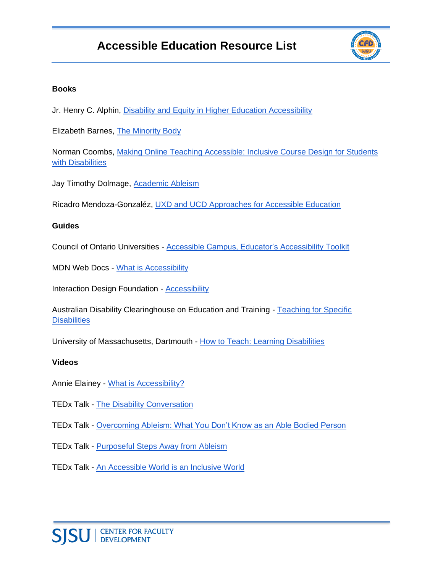## **Accessible Education Resource List**



#### **Books**

Jr. Henry C. Alphin, [Disability and Equity in Higher Education Accessibility](https://www.amazon.com/Disability-Education-Accessibility-Educational-Leadership/dp/152252665X)

Elizabeth Barnes, [The Minority Body](https://www.amazon.com/Minority-Body-Disability-Feminist-Philosophy/dp/0198732589#:~:text=Elizabeth%20Barnes%20argues%20compellingly%20that,inherently%20or%20intrinsically%20worse%20off.)

Norman Coombs, [Making Online Teaching Accessible: Inclusive Course Design for Students](https://www.amazon.com/Making-Online-Teaching-Accessible-Disabilities/dp/0470499044)  [with Disabilities](https://www.amazon.com/Making-Online-Teaching-Accessible-Disabilities/dp/0470499044)

Jay Timothy Dolmage, [Academic Ableism](https://www.press.umich.edu/9708836/academic_ableism)

Ricadro Mendoza-Gonzaléz, [UXD and UCD Approaches for Accessible Education](https://www.amazon.com/Approaches-Accessible-Educational-Technologies-Instructional/dp/1799823253) 

#### **Guides**

Council of Ontario Universities - [Accessible Campus, Educator's Accessibility Toolkit](https://accessiblecampus.ca/tools-resources/educators-tool-kit/)

MDN Web Docs - [What is Accessibility](https://developer.mozilla.org/en-US/docs/Learn/Accessibility/What_is_accessibility)

Interaction Design Foundation - [Accessibility](https://www.interaction-design.org/literature/topics/accessibility)

Australian Disability Clearinghouse on Education and Training - Teaching for Specific **Disabilities** 

University of Massachusetts, Dartmouth - [How to Teach: Learning Disabilities](https://www.umassd.edu/dss/resources/faculty--staff/how-to-teach-and-accommodate/how-to-teach-learning-disabilities/) 

#### **Videos**

Annie Elainey - [What is Accessibility?](https://www.youtube.com/watch?v=zsMo7SOuB1c)

- TEDx Talk [The Disability Conversation](https://www.youtube.com/watch?v=ccIAqPjwKcY)
- TEDx Talk [Overcoming Ableism: What You Don't Know as an Able Bodied Person](https://www.youtube.com/watch?v=X1xnyVCBYNQ)
- TEDx Talk [Purposeful Steps Away from Ableism](https://www.youtube.com/watch?v=LhFVnlLnKjM)

TEDx Talk - [An Accessible World is an Inclusive World](https://www.youtube.com/watch?v=TX-ITy4yaeI)